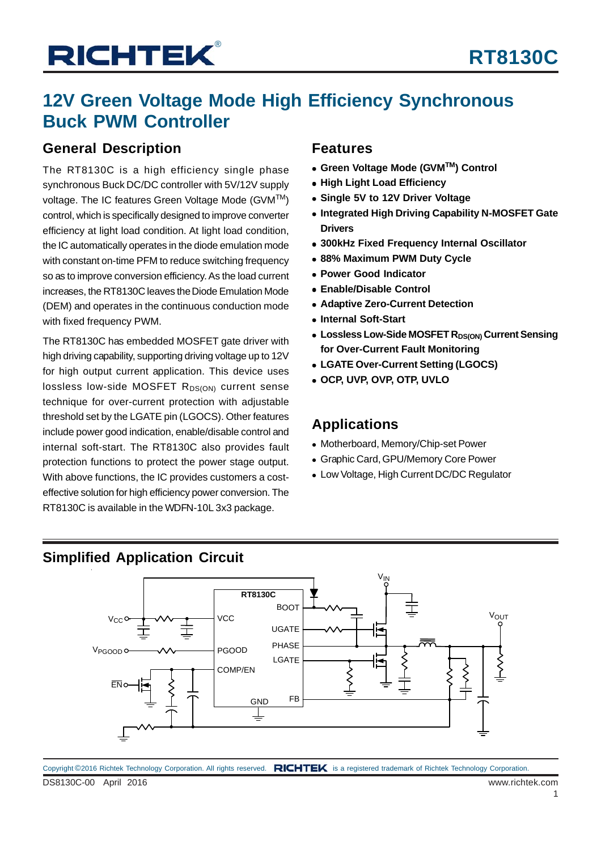## **12V Green Voltage Mode High Efficiency Synchronous Buck PWM Controller**

### **General Description**

The RT8130C is a high efficiency single phase synchronous Buck DC/DC controller with 5V/12V supply voltage. The IC features Green Voltage Mode (GVM™) control, which is specifically designed to improve converter efficiency at light load condition. At light load condition, the IC automatically operates in the diode emulation mode with constant on-time PFM to reduce switching frequency so as to improve conversion efficiency. As the load current increases, the RT8130C leaves the Diode Emulation Mode (DEM) and operates in the continuous conduction mode with fixed frequency PWM.

The RT8130C has embedded MOSFET gate driver with high driving capability, supporting driving voltage up to 12V for high output current application. This device uses  $lossless$  low-side MOSFET  $R_{DS(ON)}$  current sense technique for over-current protection with adjustable threshold set by the LGATE pin (LGOCS). Other features include power good indication, enable/disable control and internal soft-start. The RT8130C also provides fault protection functions to protect the power stage output. With above functions, the IC provides customers a costeffective solution for high efficiency power conversion. The RT8130C is available in the WDFN-10L 3x3 package.

### **Features**

- **Green Voltage Mode (GVMTM) Control**
- **High Light Load Efficiency**
- **Single 5V to 12V Driver Voltage**
- **Integrated High Driving Capability N-MOSFET Gate Drivers**
- **300kHz Fixed Frequency Internal Oscillator**
- **88% Maximum PWM Duty Cycle**
- **Power Good Indicator**
- **Enable/Disable Control**
- **Adaptive Zero-Current Detection**
- **Internal Soft-Start**
- **.** Lossless Low-Side MOSFET R<sub>DS(ON)</sub> Current Sensing **for Over-Current Fault Monitoring**
- **LGATE Over-Current Setting (LGOCS)**
- **OCP, UVP, OVP, OTP, UVLO**

### **Applications**

- Motherboard, Memory/Chip-set Power
- Graphic Card, GPU/Memory Core Power
- Low Voltage, High Current DC/DC Regulator

### **Simplified Application Circuit**



DS8130C-00 April 2016 www.richtek.com Copyright ©2016 Richtek Technology Corporation. All rights reserved. RICHTEK is a registered trademark of Richtek Technology Corporation.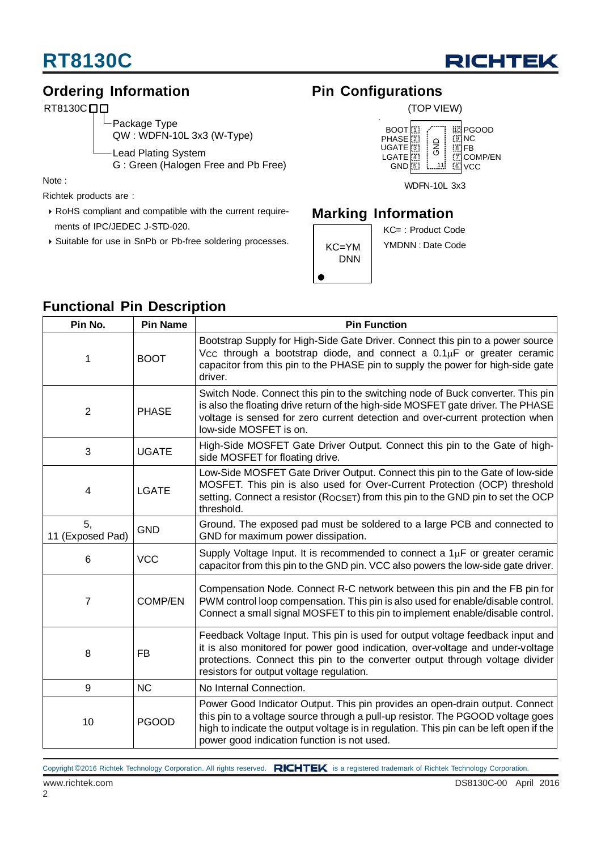

### **Ordering Information**

RT8130C<sub>D</sub>

Package Type QW : WDFN-10L 3x3 (W-Type)

-Lead Plating System

G : Green (Halogen Free and Pb Free)

Note :

Richtek products are :

- RoHS compliant and compatible with the current require ments of IPC/JEDEC J-STD-020.
- Suitable for use in SnPb or Pb-free soldering processes.

### **Pin Configurations**



WDFN-10L 3x3

### **Marking Information**



KC= : Product Code YMDNN : Date Code

### **Functional Pin Description**

| Pin No.                | <b>Pin Name</b> | <b>Pin Function</b>                                                                                                                                                                                                                                                                                      |  |  |
|------------------------|-----------------|----------------------------------------------------------------------------------------------------------------------------------------------------------------------------------------------------------------------------------------------------------------------------------------------------------|--|--|
| 1                      | <b>BOOT</b>     | Bootstrap Supply for High-Side Gate Driver. Connect this pin to a power source<br>$V_{CC}$ through a bootstrap diode, and connect a $0.1\mu$ F or greater ceramic<br>capacitor from this pin to the PHASE pin to supply the power for high-side gate<br>driver.                                          |  |  |
| $\overline{2}$         | <b>PHASE</b>    | Switch Node. Connect this pin to the switching node of Buck converter. This pin<br>is also the floating drive return of the high-side MOSFET gate driver. The PHASE<br>voltage is sensed for zero current detection and over-current protection when<br>low-side MOSFET is on.                           |  |  |
| 3                      | <b>UGATE</b>    | High-Side MOSFET Gate Driver Output. Connect this pin to the Gate of high-<br>side MOSFET for floating drive.                                                                                                                                                                                            |  |  |
| 4                      | <b>LGATE</b>    | Low-Side MOSFET Gate Driver Output. Connect this pin to the Gate of low-side<br>MOSFET. This pin is also used for Over-Current Protection (OCP) threshold<br>setting. Connect a resistor (ROCSET) from this pin to the GND pin to set the OCP<br>threshold.                                              |  |  |
| 5,<br>11 (Exposed Pad) | <b>GND</b>      | Ground. The exposed pad must be soldered to a large PCB and connected to<br>GND for maximum power dissipation.                                                                                                                                                                                           |  |  |
| 6                      | <b>VCC</b>      | Supply Voltage Input. It is recommended to connect a $1\mu$ F or greater ceramic<br>capacitor from this pin to the GND pin. VCC also powers the low-side gate driver.                                                                                                                                    |  |  |
| $\overline{7}$         | <b>COMP/EN</b>  | Compensation Node. Connect R-C network between this pin and the FB pin for<br>PWM control loop compensation. This pin is also used for enable/disable control.<br>Connect a small signal MOSFET to this pin to implement enable/disable control.                                                         |  |  |
| 8                      | <b>FB</b>       | Feedback Voltage Input. This pin is used for output voltage feedback input and<br>it is also monitored for power good indication, over-voltage and under-voltage<br>protections. Connect this pin to the converter output through voltage divider<br>resistors for output voltage regulation.            |  |  |
| 9                      | <b>NC</b>       | No Internal Connection.                                                                                                                                                                                                                                                                                  |  |  |
| 10                     | <b>PGOOD</b>    | Power Good Indicator Output. This pin provides an open-drain output. Connect<br>this pin to a voltage source through a pull-up resistor. The PGOOD voltage goes<br>high to indicate the output voltage is in regulation. This pin can be left open if the<br>power good indication function is not used. |  |  |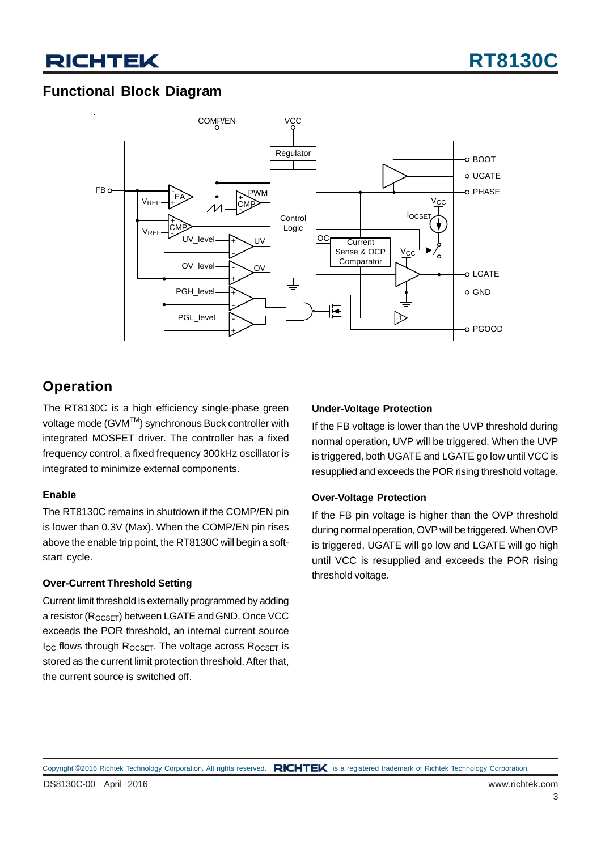### **Functional Block Diagram**



### **Operation**

The RT8130C is a high efficiency single-phase green voltage mode (GVM™) synchronous Buck controller with integrated MOSFET driver. The controller has a fixed frequency control, a fixed frequency 300kHz oscillator is integrated to minimize external components.

#### **Enable**

The RT8130C remains in shutdown if the COMP/EN pin is lower than 0.3V (Max). When the COMP/EN pin rises above the enable trip point, the RT8130C will begin a softstart cycle.

#### **Over-Current Threshold Setting**

Current limit threshold is externally programmed by adding a resistor (R<sub>OCSET</sub>) between LGATE and GND. Once VCC exceeds the POR threshold, an internal current source  $I_{OC}$  flows through  $R_{OCSET}$ . The voltage across  $R_{OCSET}$  is stored as the current limit protection threshold. After that, the current source is switched off.

#### **Under-Voltage Protection**

If the FB voltage is lower than the UVP threshold during normal operation, UVP will be triggered. When the UVP is triggered, both UGATE and LGATE go low until VCC is resupplied and exceeds the POR rising threshold voltage.

#### **Over-Voltage Protection**

If the FB pin voltage is higher than the OVP threshold during normal operation, OVP will be triggered. When OVP is triggered, UGATE will go low and LGATE will go high until VCC is resupplied and exceeds the POR rising threshold voltage.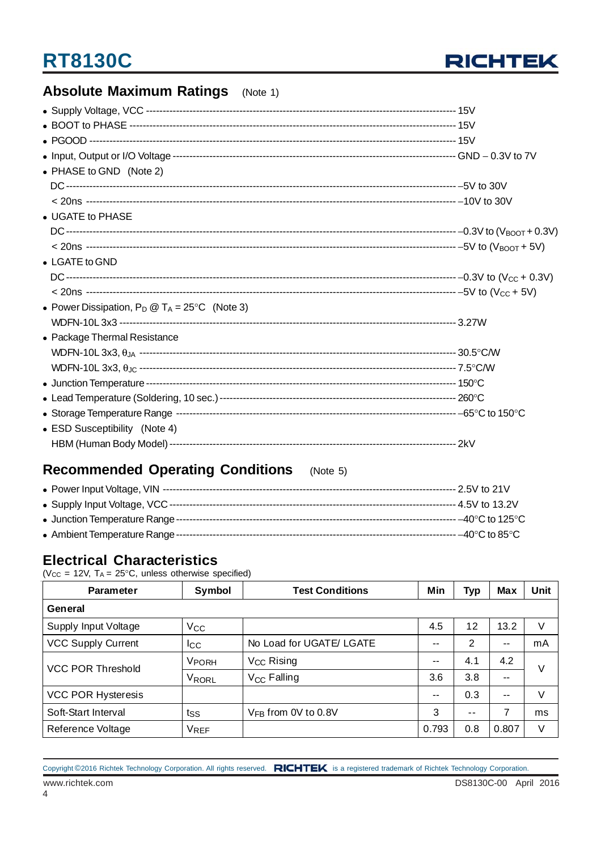

### **Absolute Maximum Ratings** (Note 1)

| • PHASE to GND (Note 2)                                 |  |
|---------------------------------------------------------|--|
|                                                         |  |
|                                                         |  |
| • UGATE to PHASE                                        |  |
|                                                         |  |
|                                                         |  |
| $\bullet$ LGATE to GND                                  |  |
|                                                         |  |
|                                                         |  |
| • Power Dissipation, $P_D @ T_A = 25^{\circ}C$ (Note 3) |  |
|                                                         |  |
| • Package Thermal Resistance                            |  |
|                                                         |  |
|                                                         |  |
|                                                         |  |
|                                                         |  |
|                                                         |  |
| • ESD Susceptibility (Note 4)                           |  |
|                                                         |  |

### **Recommended Operating Conditions** (Note 5)

|                                  | --- –40°C to 125°C                 |
|----------------------------------|------------------------------------|
| • Ambient Temperature Range ---- | $-40^{\circ}$ C to 85 $^{\circ}$ C |

### **Electrical Characteristics**

( $V_{CC}$  = 12V,  $T_A$  = 25°C, unless otherwise specified)

| <b>Parameter</b>          | Symbol       | <b>Test Conditions</b>   | Min   | <b>Typ</b> | <b>Max</b> | Unit |  |
|---------------------------|--------------|--------------------------|-------|------------|------------|------|--|
| General                   |              |                          |       |            |            |      |  |
| Supply Input Voltage      | $V_{\rm CC}$ |                          | 4.5   | 12         | 13.2       | V    |  |
| <b>VCC Supply Current</b> | Icc          | No Load for UGATE/ LGATE | $- -$ | 2          | $- -$      | mA   |  |
| <b>VCC POR Threshold</b>  | <b>VPORH</b> | V <sub>CC</sub> Rising   | $- -$ | 4.1        | 4.2        | V    |  |
|                           | VRORL        | V <sub>CC</sub> Falling  | 3.6   | 3.8        | --         |      |  |
| <b>VCC POR Hysteresis</b> |              |                          | $ -$  | 0.3        | $- -$      | V    |  |
| Soft-Start Interval       | tss          | $V_{FB}$ from 0V to 0.8V | 3     | $ -$       | 7          | ms   |  |
| Reference Voltage         | VREF         |                          | 0.793 | 0.8        | 0.807      | V    |  |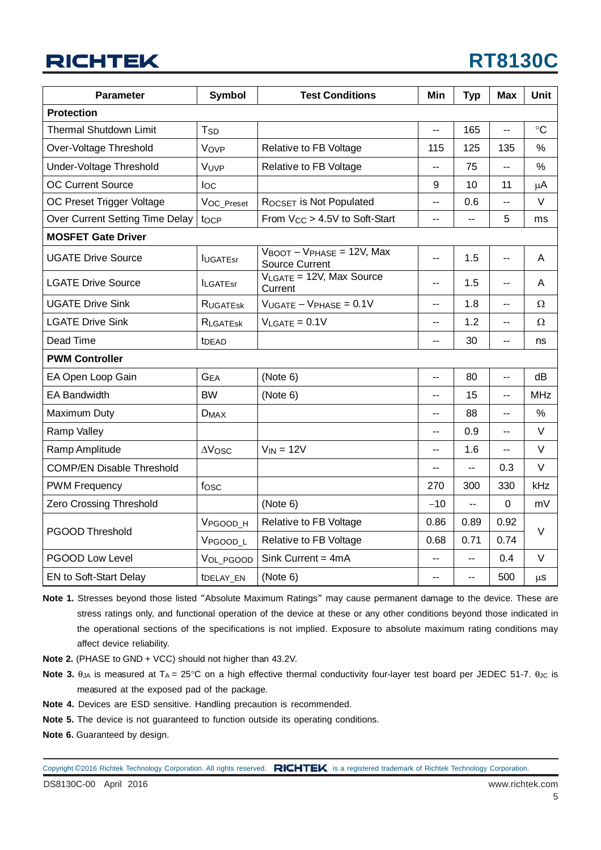## **RT8130C**

| <b>Parameter</b>                 | <b>Symbol</b>         | <b>Test Conditions</b>                                                    | Min            | <b>Typ</b> | <b>Max</b>     | <b>Unit</b>     |  |
|----------------------------------|-----------------------|---------------------------------------------------------------------------|----------------|------------|----------------|-----------------|--|
| <b>Protection</b>                |                       |                                                                           |                |            |                |                 |  |
| <b>Thermal Shutdown Limit</b>    | T <sub>SD</sub>       |                                                                           | $-$            | 165        | Ш,             | $\rm ^{\circ}C$ |  |
| Over-Voltage Threshold           | Vovp                  | Relative to FB Voltage                                                    | 115            | 125        | 135            | %               |  |
| Under-Voltage Threshold          | VUVP                  | Relative to FB Voltage                                                    | ц.             | 75         | --             | %               |  |
| <b>OC Current Source</b>         | $I_{\rm OC}$          |                                                                           | 9              | 10         | 11             | μA              |  |
| OC Preset Trigger Voltage        | VOC_Preset            | ROCSET is Not Populated                                                   | --             | 0.6        | Ξ.             | V               |  |
| Over Current Setting Time Delay  | tocp                  | From V <sub>CC</sub> > 4.5V to Soft-Start                                 | $\overline{a}$ | --         | 5              | ms              |  |
| <b>MOSFET Gate Driver</b>        |                       |                                                                           |                |            |                |                 |  |
| <b>UGATE Drive Source</b>        | <b>IUGATEsr</b>       | $V_{\text{BOOT}} - V_{\text{PHASE}} = 12V$ , Max<br><b>Source Current</b> | --             | 1.5        | --             | A               |  |
| <b>LGATE Drive Source</b>        | <b>ILGATEsr</b>       | VLGATE = 12V, Max Source<br>Current                                       | $-$            | 1.5        | $-$            | A               |  |
| <b>UGATE Drive Sink</b>          | RUGATESK              | $VUGATE - VPHASE = 0.1V$                                                  | --             | 1.8        | -−             | Ω               |  |
| <b>LGATE Drive Sink</b>          | <b>RLGATESK</b>       | $V_{LGATE} = 0.1V$                                                        | --             | 1.2        | --             | Ω               |  |
| Dead Time                        | t <sub>DEAD</sub>     |                                                                           | --             | 30         | $\overline{a}$ | ns              |  |
| <b>PWM Controller</b>            |                       |                                                                           |                |            |                |                 |  |
| EA Open Loop Gain                | G <sub>EA</sub>       | (Note 6)                                                                  | Ξ.             | 80         | Ш,             | dB              |  |
| <b>EA Bandwidth</b>              | <b>BW</b>             | (Note 6)                                                                  | Ξ.             | 15         | $\overline{a}$ | <b>MHz</b>      |  |
| Maximum Duty                     | $D_{MAX}$             |                                                                           | $-$            | 88         | $\overline{a}$ | %               |  |
| <b>Ramp Valley</b>               |                       |                                                                           | --             | 0.9        | $\overline{a}$ | $\vee$          |  |
| Ramp Amplitude                   | $\Delta V$ OSC        | $V_{IN} = 12V$                                                            | --             | 1.6        | --             | V               |  |
| <b>COMP/EN Disable Threshold</b> |                       |                                                                           | $-$            | --         | 0.3            | V               |  |
| <b>PWM Frequency</b>             | fosc                  |                                                                           | 270            | 300        | 330            | kHz             |  |
| <b>Zero Crossing Threshold</b>   |                       | (Note 6)                                                                  | $-10$          | --         | $\Omega$       | mV              |  |
|                                  | V <sub>PGOOD_H</sub>  | Relative to FB Voltage                                                    | 0.86           | 0.89       | 0.92           | $\vee$          |  |
| <b>PGOOD Threshold</b>           | V <sub>PGOOD</sub> L  | Relative to FB Voltage                                                    | 0.68           | 0.71       | 0.74           |                 |  |
| PGOOD Low Level                  | VOL_PGOOD             | Sink Current = $4mA$                                                      | --             | --         | 0.4            | $\vee$          |  |
| EN to Soft-Start Delay           | t <sub>DELAY_EN</sub> | (Note 6)                                                                  | --             | --         | 500            | $\mu$ s         |  |

- **Note 1.** Stresses beyond those listed "Absolute Maximum Ratings" may cause permanent damage to the device. These are stress ratings only, and functional operation of the device at these or any other conditions beyond those indicated in the operational sections of the specifications is not implied. Exposure to absolute maximum rating conditions may affect device reliability.
- **Note 2.** (PHASE to GND + VCC) should not higher than 43.2V.
- **Note 3.** θ<sub>JA</sub> is measured at T<sub>A</sub> = 25°C on a high effective thermal conductivity four-layer test board per JEDEC 51-7. θ<sub>JC</sub> is measured at the exposed pad of the package.
- **Note 4.** Devices are ESD sensitive. Handling precaution is recommended.
- **Note 5.** The device is not guaranteed to function outside its operating conditions.
- **Note 6.** Guaranteed by design.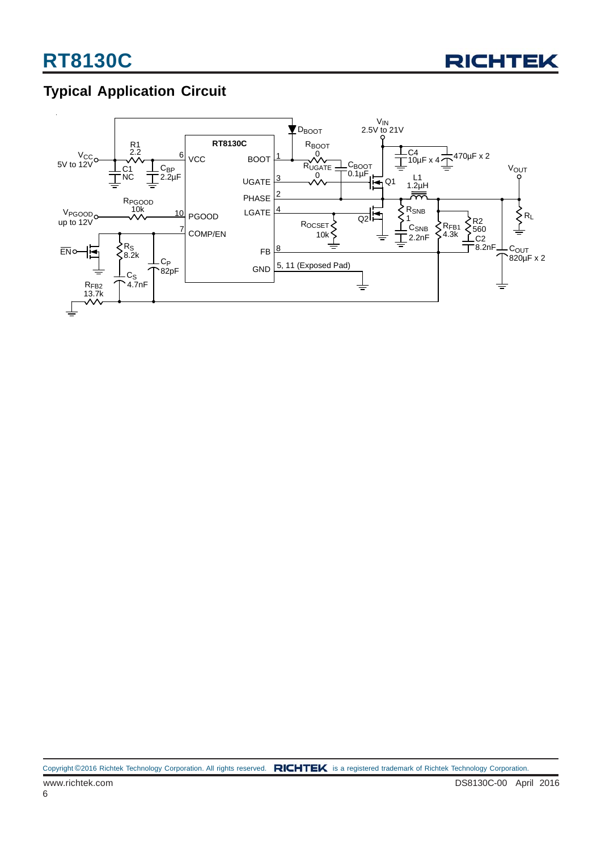

### **Typical Application Circuit**

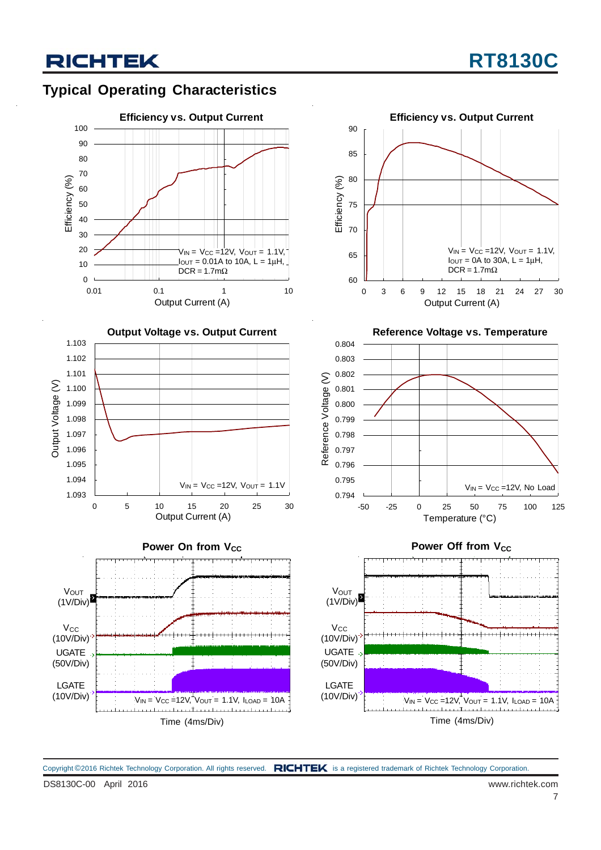### **Typical Operating Characteristics**











**Reference Voltage vs. Temperature**



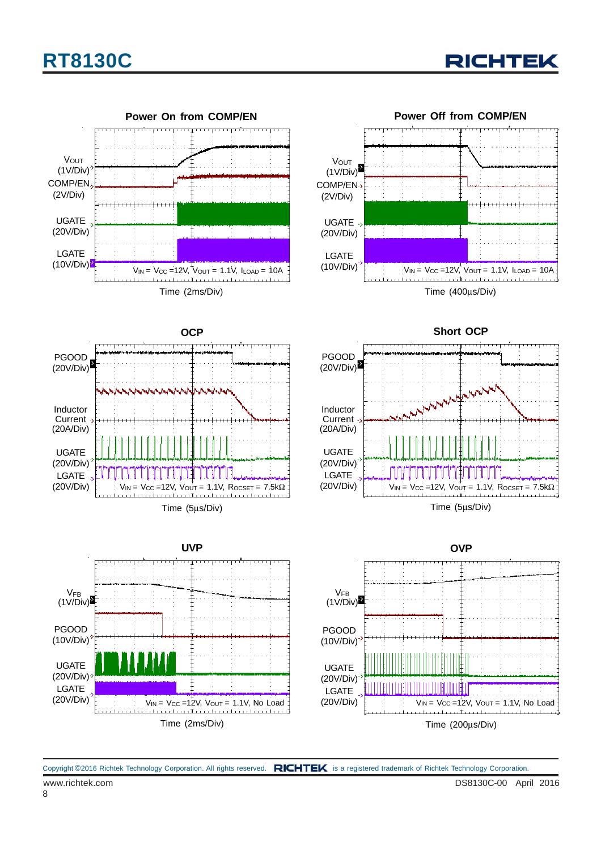

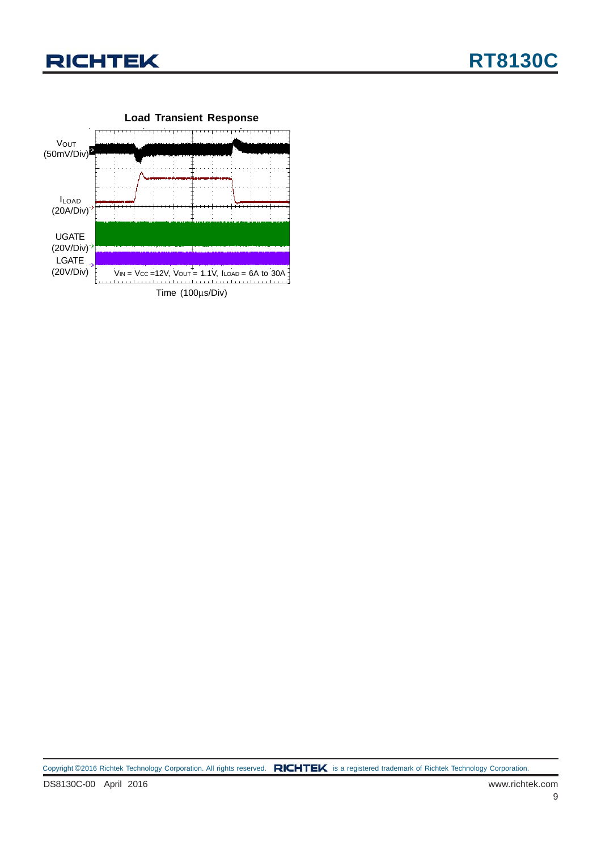

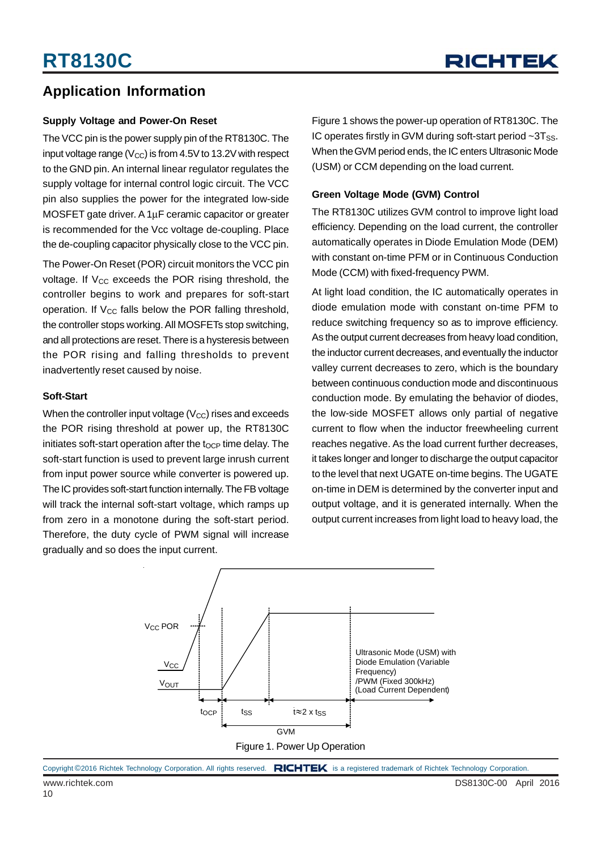### **Application Information**

#### **Supply Voltage and Power-On Reset**

The VCC pin is the power supply pin of the RT8130C. The input voltage range ( $V_{CC}$ ) is from 4.5V to 13.2V with respect to the GND pin. An internal linear regulator regulates the supply voltage for internal control logic circuit. The VCC pin also supplies the power for the integrated low-side MOSFET gate driver. A 1μF ceramic capacitor or greater is recommended for the Vcc voltage de-coupling. Place the de-coupling capacitor physically close to the VCC pin.

The Power-On Reset (POR) circuit monitors the VCC pin voltage. If  $V_{CC}$  exceeds the POR rising threshold, the controller begins to work and prepares for soft-start operation. If  $V_{CC}$  falls below the POR falling threshold, the controller stops working. All MOSFETs stop switching, and all protections are reset. There is a hysteresis between the POR rising and falling thresholds to prevent inadvertently reset caused by noise.

#### **Soft-Start**

When the controller input voltage  $(V_{CC})$  rises and exceeds the POR rising threshold at power up, the RT8130C initiates soft-start operation after the  $t<sub>OCP</sub>$  time delay. The soft-start function is used to prevent large inrush current from input power source while converter is powered up. The IC provides soft-start function internally. The FB voltage will track the internal soft-start voltage, which ramps up from zero in a monotone during the soft-start period. Therefore, the duty cycle of PWM signal will increase gradually and so does the input current.

Figure 1 shows the power-up operation of RT8130C. The IC operates firstly in GVM during soft-start period  $\sim 3T_{SS}$ . When the GVM period ends, the IC enters Ultrasonic Mode (USM) or CCM depending on the load current.

#### **Green Voltage Mode (GVM) Control**

The RT8130C utilizes GVM control to improve light load efficiency. Depending on the load current, the controller automatically operates in Diode Emulation Mode (DEM) with constant on-time PFM or in Continuous Conduction Mode (CCM) with fixed-frequency PWM.

At light load condition, the IC automatically operates in diode emulation mode with constant on-time PFM to reduce switching frequency so as to improve efficiency. As the output current decreases from heavy load condition, the inductor current decreases, and eventually the inductor valley current decreases to zero, which is the boundary between continuous conduction mode and discontinuous conduction mode. By emulating the behavior of diodes, the low-side MOSFET allows only partial of negative current to flow when the inductor freewheeling current reaches negative. As the load current further decreases, it takes longer and longer to discharge the output capacitor to the level that next UGATE on-time begins. The UGATE on-time in DEM is determined by the converter input and output voltage, and it is generated internally. When the output current increases from light load to heavy load, the

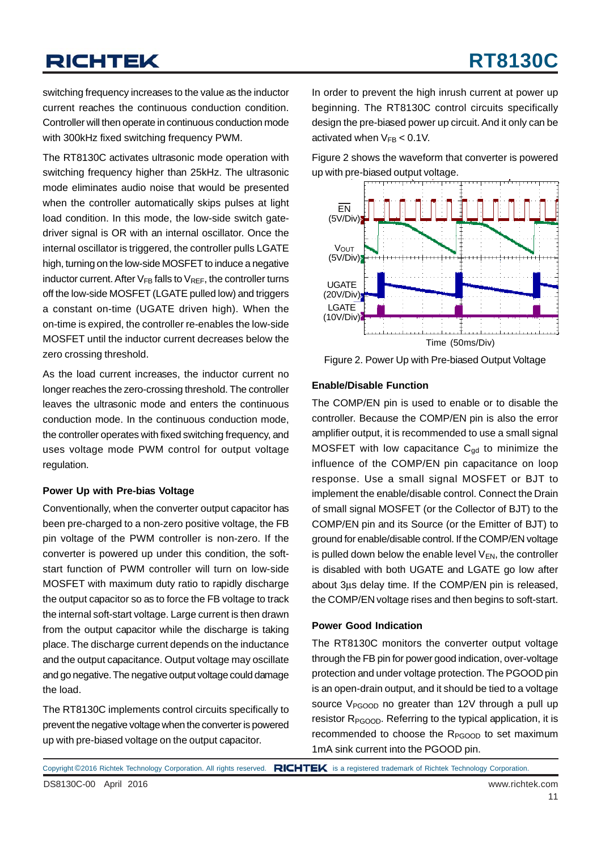## **RT8130C**

switching frequency increases to the value as the inductor current reaches the continuous conduction condition. Controller will then operate in continuous conduction mode with 300kHz fixed switching frequency PWM.

The RT8130C activates ultrasonic mode operation with switching frequency higher than 25kHz. The ultrasonic mode eliminates audio noise that would be presented when the controller automatically skips pulses at light load condition. In this mode, the low-side switch gatedriver signal is OR with an internal oscillator. Once the internal oscillator is triggered, the controller pulls LGATE high, turning on the low-side MOSFET to induce a negative inductor current. After  $V_{FB}$  falls to  $V_{REF}$ , the controller turns off the low-side MOSFET (LGATE pulled low) and triggers a constant on-time (UGATE driven high). When the on-time is expired, the controller re-enables the low-side MOSFET until the inductor current decreases below the zero crossing threshold.

As the load current increases, the inductor current no longer reaches the zero-crossing threshold. The controller leaves the ultrasonic mode and enters the continuous conduction mode. In the continuous conduction mode, the controller operates with fixed switching frequency, and uses voltage mode PWM control for output voltage regulation.

#### **Power Up with Pre-bias Voltage**

Conventionally, when the converter output capacitor has been pre-charged to a non-zero positive voltage, the FB pin voltage of the PWM controller is non-zero. If the converter is powered up under this condition, the softstart function of PWM controller will turn on low-side MOSFET with maximum duty ratio to rapidly discharge the output capacitor so as to force the FB voltage to track the internal soft-start voltage. Large current is then drawn from the output capacitor while the discharge is taking place. The discharge current depends on the inductance and the output capacitance. Output voltage may oscillate and go negative. The negative output voltage could damage the load.

The RT8130C implements control circuits specifically to prevent the negative voltage when the converter is powered up with pre-biased voltage on the output capacitor.

In order to prevent the high inrush current at power up beginning. The RT8130C control circuits specifically design the pre-biased power up circuit. And it only can be activated when  $V_{FB}$  < 0.1V.

Figure 2 shows the waveform that converter is powered up with pre-biased output voltage.



Figure 2. Power Up with Pre-biased Output Voltage

#### **Enable/Disable Function**

The COMP/EN pin is used to enable or to disable the controller. Because the COMP/EN pin is also the error amplifier output, it is recommended to use a small signal MOSFET with low capacitance  $C_{qd}$  to minimize the influence of the COMP/EN pin capacitance on loop response. Use a small signal MOSFET or BJT to implement the enable/disable control. Connect the Drain of small signal MOSFET (or the Collector of BJT) to the COMP/EN pin and its Source (or the Emitter of BJT) to ground for enable/disable control. If the COMP/EN voltage is pulled down below the enable level  $V_{EN}$ , the controller is disabled with both UGATE and LGATE go low after about 3μs delay time. If the COMP/EN pin is released, the COMP/EN voltage rises and then begins to soft-start.

#### **Power Good Indication**

The RT8130C monitors the converter output voltage through the FB pin for power good indication, over-voltage protection and under voltage protection. The PGOOD pin is an open-drain output, and it should be tied to a voltage source  $V_{PGOOD}$  no greater than 12V through a pull up resistor R<sub>PGOOD</sub>. Referring to the typical application, it is recommended to choose the R<sub>PGOOD</sub> to set maximum 1mA sink current into the PGOOD pin.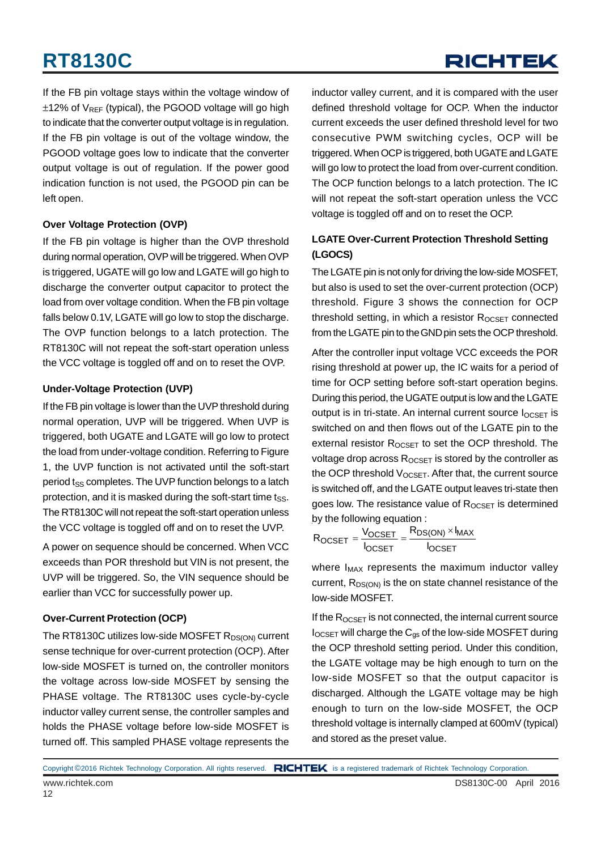## RICHTEK

If the FB pin voltage stays within the voltage window of  $\pm$ 12% of V<sub>RFF</sub> (typical), the PGOOD voltage will go high to indicate that the converter output voltage is in regulation. If the FB pin voltage is out of the voltage window, the PGOOD voltage goes low to indicate that the converter output voltage is out of regulation. If the power good indication function is not used, the PGOOD pin can be left open.

#### **Over Voltage Protection (OVP)**

If the FB pin voltage is higher than the OVP threshold during normal operation, OVP will be triggered. When OVP is triggered, UGATE will go low and LGATE will go high to discharge the converter output capacitor to protect the load from over voltage condition. When the FB pin voltage falls below 0.1V, LGATE will go low to stop the discharge. The OVP function belongs to a latch protection. The RT8130C will not repeat the soft-start operation unless the VCC voltage is toggled off and on to reset the OVP.

#### **Under-Voltage Protection (UVP)**

If the FB pin voltage is lower than the UVP threshold during normal operation, UVP will be triggered. When UVP is triggered, both UGATE and LGATE will go low to protect the load from under-voltage condition. Referring to Figure 1, the UVP function is not activated until the soft-start period t<sub>SS</sub> completes. The UVP function belongs to a latch protection, and it is masked during the soft-start time tss. The RT8130C will not repeat the soft-start operation unless the VCC voltage is toggled off and on to reset the UVP.

A power on sequence should be concerned. When VCC exceeds than POR threshold but VIN is not present, the UVP will be triggered. So, the VIN sequence should be earlier than VCC for successfully power up.

#### **Over-Current Protection (OCP)**

The RT8130C utilizes low-side MOSFET R<sub>DS(ON)</sub> current sense technique for over-current protection (OCP). After low-side MOSFET is turned on, the controller monitors the voltage across low-side MOSFET by sensing the PHASE voltage. The RT8130C uses cycle-by-cycle inductor valley current sense, the controller samples and holds the PHASE voltage before low-side MOSFET is turned off. This sampled PHASE voltage represents the

inductor valley current, and it is compared with the user defined threshold voltage for OCP. When the inductor current exceeds the user defined threshold level for two consecutive PWM switching cycles, OCP will be triggered. When OCP is triggered, both UGATE and LGATE will go low to protect the load from over-current condition. The OCP function belongs to a latch protection. The IC will not repeat the soft-start operation unless the VCC voltage is toggled off and on to reset the OCP.

#### **LGATE Over-Current Protection Threshold Setting (LGOCS)**

The LGATE pin is not only for driving the low-side MOSFET, but also is used to set the over-current protection (OCP) threshold. Figure 3 shows the connection for OCP threshold setting, in which a resistor  $R_{OCSET}$  connected from the LGATE pin to the GND pin sets the OCP threshold.

After the controller input voltage VCC exceeds the POR rising threshold at power up, the IC waits for a period of time for OCP setting before soft-start operation begins. During this period, the UGATE output is low and the LGATE output is in tri-state. An internal current source  $I_{OCSET}$  is switched on and then flows out of the LGATE pin to the external resistor  $R_{OCSET}$  to set the OCP threshold. The voltage drop across  $R_{OCSET}$  is stored by the controller as the OCP threshold  $V_{OCSET}$ . After that, the current source is switched off, and the LGATE output leaves tri-state then goes low. The resistance value of Rocset is determined by the following equation :

$$
R_{OCSET} = \frac{V_{OCSET}}{I_{OCSET}} = \frac{R_{DS(ON)} \times I_{MAX}}{I_{OCSET}}
$$

where  $I_{MAX}$  represents the maximum inductor valley current,  $R_{DS(ON)}$  is the on state channel resistance of the low-side MOSFET.

If the  $R_{OCSET}$  is not connected, the internal current source  $I_{OCSET}$  will charge the  $C_{qs}$  of the low-side MOSFET during the OCP threshold setting period. Under this condition, the LGATE voltage may be high enough to turn on the low-side MOSFET so that the output capacitor is discharged. Although the LGATE voltage may be high enough to turn on the low-side MOSFET, the OCP threshold voltage is internally clamped at 600mV (typical) and stored as the preset value.

Copyright ©2016 Richtek Technology Corporation. All rights reserved. RICHTEK is a registered trademark of Richtek Technology Corporation.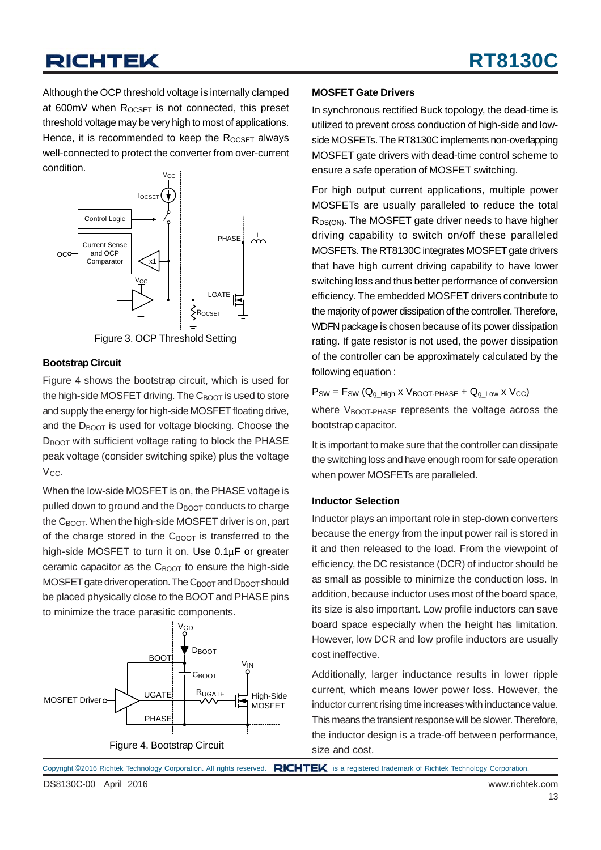Although the OCP threshold voltage is internally clamped at 600mV when  $R_{OCSFT}$  is not connected, this preset threshold voltage may be very high to most of applications. Hence, it is recommended to keep the  $R_{OCSET}$  always well-connected to protect the converter from over-current condition.



Figure 3. OCP Threshold Setting

#### **Bootstrap Circuit**

Figure 4 shows the bootstrap circuit, which is used for the high-side MOSFET driving. The  $C_{\text{BOOT}}$  is used to store and supply the energy for high-side MOSFET floating drive, and the  $D_{\text{BOOT}}$  is used for voltage blocking. Choose the D<sub>BOOT</sub> with sufficient voltage rating to block the PHASE peak voltage (consider switching spike) plus the voltage  $V_{CC}$ .

When the low-side MOSFET is on, the PHASE voltage is pulled down to ground and the  $D_{\text{BOOT}}$  conducts to charge the  $C_{\text{BOOT}}$ . When the high-side MOSFET driver is on, part of the charge stored in the  $C_{\text{BNOT}}$  is transferred to the high-side MOSFET to turn it on. Use 0.1μF or greater ceramic capacitor as the  $C_{\text{BOOT}}$  to ensure the high-side MOSFET gate driver operation. The  $C_{\text{BOOT}}$  and  $D_{\text{BOOT}}$  should be placed physically close to the BOOT and PHASE pins to minimize the trace parasitic components.



#### **MOSFET Gate Drivers**

In synchronous rectified Buck topology, the dead-time is utilized to prevent cross conduction of high-side and lowside MOSFETs. The RT8130C implements non-overlapping MOSFET gate drivers with dead-time control scheme to ensure a safe operation of MOSFET switching.

For high output current applications, multiple power MOSFETs are usually paralleled to reduce the total  $R_{DS(ON)}$ . The MOSFET gate driver needs to have higher driving capability to switch on/off these paralleled MOSFETs. The RT8130C integrates MOSFET gate drivers that have high current driving capability to have lower switching loss and thus better performance of conversion efficiency. The embedded MOSFET drivers contribute to the majority of power dissipation of the controller. Therefore, WDFN package is chosen because of its power dissipation rating. If gate resistor is not used, the power dissipation of the controller can be approximately calculated by the following equation :

 $P_{SW} = F_{SW} (Q_{g_H} H_{igh} \times V_{BOOT-PHASE} + Q_{g_L} W \times V_{CC})$ where  $V_{\text{BOOT-PHASE}}$  represents the voltage across the bootstrap capacitor.

It is important to make sure that the controller can dissipate the switching loss and have enough room for safe operation when power MOSFETs are paralleled.

#### **Inductor Selection**

Inductor plays an important role in step-down converters because the energy from the input power rail is stored in it and then released to the load. From the viewpoint of efficiency, the DC resistance (DCR) of inductor should be as small as possible to minimize the conduction loss. In addition, because inductor uses most of the board space, its size is also important. Low profile inductors can save board space especially when the height has limitation. However, low DCR and low profile inductors are usually cost ineffective.

Additionally, larger inductance results in lower ripple current, which means lower power loss. However, the inductor current rising time increases with inductance value. This means the transient response will be slower. Therefore, the inductor design is a trade-off between performance, size and cost.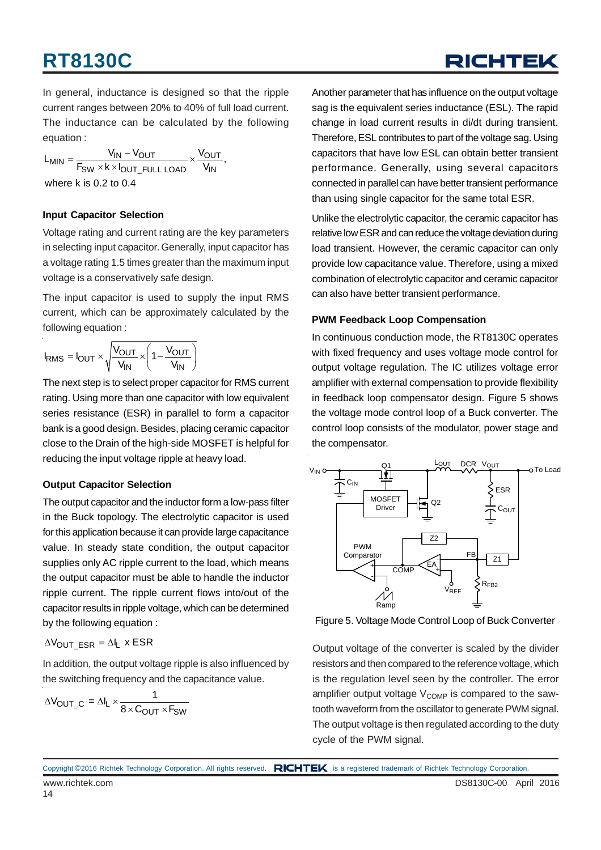RICHTEK

In general, inductance is designed so that the ripple current ranges between 20% to 40% of full load current. The inductance can be calculated by the following equation :

 $L_{MIN} = \frac{V_{IN} - V_{OUT}}{F_{SW} \times k \times l_{OUT\_FULL\ LOAD}} \times \frac{V_{OUT}}{V_{IN}},$ where k is 0.2 to 0.4

#### **Input Capacitor Selection**

Voltage rating and current rating are the key parameters in selecting input capacitor. Generally, input capacitor has a voltage rating 1.5 times greater than the maximum input voltage is a conservatively safe design.

The input capacitor is used to supply the input RMS current, which can be approximately calculated by the following equation :

$$
I_{RMS} = I_{OUT} \times \sqrt{\frac{V_{OUT}}{V_{IN}}} \times \left(1 - \frac{V_{OUT}}{V_{IN}}\right)
$$

The next step is to select proper capacitor for RMS current rating. Using more than one capacitor with low equivalent series resistance (ESR) in parallel to form a capacitor bank is a good design. Besides, placing ceramic capacitor close to the Drain of the high-side MOSFET is helpful for reducing the input voltage ripple at heavy load.

#### **Output Capacitor Selection**

The output capacitor and the inductor form a low-pass filter in the Buck topology. The electrolytic capacitor is used for this application because it can provide large capacitance value. In steady state condition, the output capacitor supplies only AC ripple current to the load, which means the output capacitor must be able to handle the inductor ripple current. The ripple current flows into/out of the capacitor results in ripple voltage, which can be determined by the following equation :

$$
\Delta V_{OUT\_ESR} = \Delta I_L \times ESR
$$

In addition, the output voltage ripple is also influenced by the switching frequency and the capacitance value.

$$
\Delta V_{\text{OUT\_C}} = \Delta I_{L} \times \frac{1}{8 \times C_{\text{OUT}} \times F_{\text{SW}}}
$$

Another parameter that has influence on the output voltage sag is the equivalent series inductance (ESL). The rapid change in load current results in di/dt during transient. Therefore, ESL contributes to part of the voltage sag. Using capacitors that have low ESL can obtain better transient performance. Generally, using several capacitors connected in parallel can have better transient performance than using single capacitor for the same total ESR.

Unlike the electrolytic capacitor, the ceramic capacitor has relative low ESR and can reduce the voltage deviation during load transient. However, the ceramic capacitor can only provide low capacitance value. Therefore, using a mixed combination of electrolytic capacitor and ceramic capacitor can also have better transient performance.

#### **PWM Feedback Loop Compensation**

In continuous conduction mode, the RT8130C operates with fixed frequency and uses voltage mode control for output voltage regulation. The IC utilizes voltage error amplifier with external compensation to provide flexibility in feedback loop compensator design. Figure 5 shows the voltage mode control loop of a Buck converter. The control loop consists of the modulator, power stage and the compensator.



Figure 5. Voltage Mode Control Loop of Buck Converter

Output voltage of the converter is scaled by the divider resistors and then compared to the reference voltage, which is the regulation level seen by the controller. The error amplifier output voltage  $V_{\text{COMP}}$  is compared to the sawtooth waveform from the oscillator to generate PWM signal. The output voltage is then regulated according to the duty cycle of the PWM signal.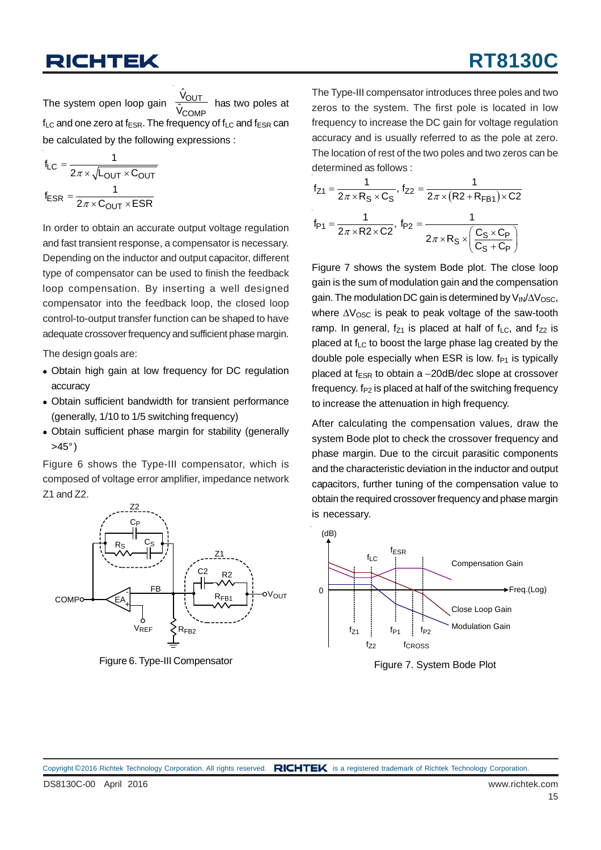## **RT8130C**

The system open loop gain  $\frac{1001}{\hat{U}}$  has two poles at  $f_{LC}$  and one zero at  $f_{ESR}$ . The frequency of  $f_{LC}$  and  $f_{ESR}$  can be calculated by the following expressions :  $\hat{\mathsf{v}}_\mathsf{OUT}$  $\hat{\mathsf{V}}_{\mathsf{COMP}}$ 

$$
f_{LC} = \frac{1}{2\pi \times \sqrt{L_{OUT} \times C_{OUT}}}
$$

$$
f_{ESR} = \frac{1}{2\pi \times C_{OUT} \times ESR}
$$

In order to obtain an accurate output voltage regulation and fast transient response, a compensator is necessary. Depending on the inductor and output capacitor, different type of compensator can be used to finish the feedback loop compensation. By inserting a well designed compensator into the feedback loop, the closed loop control-to-output transfer function can be shaped to have adequate crossover frequency and sufficient phase margin.

The design goals are:

- Obtain high gain at low frequency for DC regulation accuracy
- Obtain sufficient bandwidth for transient performance (generally, 1/10 to 1/5 switching frequency)
- Obtain sufficient phase margin for stability (generally  $>45^\circ$ )

Figure 6 shows the Type-III compensator, which is composed of voltage error amplifier, impedance network Z1 and Z2.



Figure 6. Type-III Compensator

The Type-III compensator introduces three poles and two zeros to the system. The first pole is located in low frequency to increase the DC gain for voltage regulation accuracy and is usually referred to as the pole at zero. The location of rest of the two poles and two zeros can be determined as follows :

$$
f_{Z1} = \frac{1}{2\pi \times R_S \times C_S}, f_{Z2} = \frac{1}{2\pi \times (R2 + R_{FB1}) \times C2}
$$

$$
f_{P1} = \frac{1}{2\pi \times R2 \times C2}, f_{P2} = \frac{1}{2\pi \times R_S \times \left(\frac{C_S \times C_P}{C_S + C_P}\right)}
$$

Figure 7 shows the system Bode plot. The close loop gain is the sum of modulation gain and the compensation gain. The modulation DC gain is determined by  $V_{\text{IN}}/\Delta V_{\text{OSC}}$ , where  $\Delta V_{\rm OSC}$  is peak to peak voltage of the saw-tooth ramp. In general,  $f_{Z1}$  is placed at half of  $f_{LC}$ , and  $f_{Z2}$  is placed at  $f_{LC}$  to boost the large phase lag created by the double pole especially when ESR is low.  $f_{P1}$  is typically placed at  $f_{FSR}$  to obtain a  $-20$ dB/dec slope at crossover frequency.  $f_{P2}$  is placed at half of the switching frequency to increase the attenuation in high frequency.

After calculating the compensation values, draw the system Bode plot to check the crossover frequency and phase margin. Due to the circuit parasitic components and the characteristic deviation in the inductor and output capacitors, further tuning of the compensation value to obtain the required crossover frequency and phase margin is necessary.



Figure 7. System Bode Plot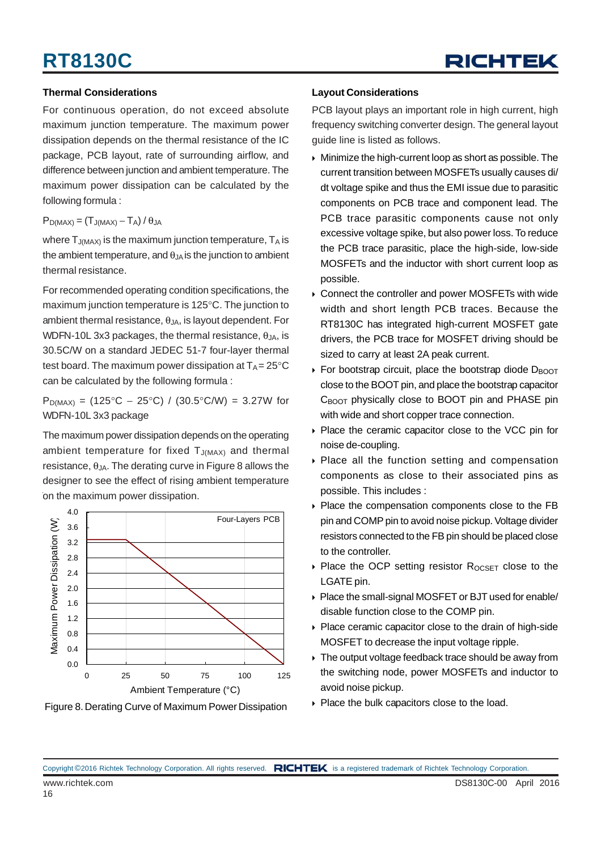

#### **Thermal Considerations**

For continuous operation, do not exceed absolute maximum junction temperature. The maximum power dissipation depends on the thermal resistance of the IC package, PCB layout, rate of surrounding airflow, and difference between junction and ambient temperature. The maximum power dissipation can be calculated by the following formula :

#### $P_{D(MAX)} = (T_{J(MAX)} - T_A)/\theta_{JA}$

where  $T_{J(MAX)}$  is the maximum junction temperature,  $T_A$  is the ambient temperature, and  $\theta_{JA}$  is the junction to ambient thermal resistance.

For recommended operating condition specifications, the maximum junction temperature is 125°C. The junction to ambient thermal resistance,  $\theta_{JA}$ , is layout dependent. For WDFN-10L 3x3 packages, the thermal resistance,  $\theta_{JA}$ , is 30.5C/W on a standard JEDEC 51-7 four-layer thermal test board. The maximum power dissipation at  $T_A = 25^{\circ}C$ can be calculated by the following formula :

 $P_{D(MAX)} = (125^{\circ}C - 25^{\circ}C) / (30.5^{\circ}C/W) = 3.27W$  for WDFN-10L 3x3 package

The maximum power dissipation depends on the operating ambient temperature for fixed  $T_{J(MAX)}$  and thermal resistance,  $\theta_{JA}$ . The derating curve in Figure 8 allows the designer to see the effect of rising ambient temperature on the maximum power dissipation.



Figure 8. Derating Curve of Maximum Power Dissipation  $\longrightarrow$  Place the bulk capacitors close to the load.

#### **Layout Considerations**

PCB layout plays an important role in high current, high frequency switching converter design. The general layout guide line is listed as follows.

- Minimize the high-current loop as short as possible. The current transition between MOSFETs usually causes di/ dt voltage spike and thus the EMI issue due to parasitic components on PCB trace and component lead. The PCB trace parasitic components cause not only excessive voltage spike, but also power loss. To reduce the PCB trace parasitic, place the high-side, low-side MOSFETs and the inductor with short current loop as possible.
- Connect the controller and power MOSFETs with wide width and short length PCB traces. Because the RT8130C has integrated high-current MOSFET gate drivers, the PCB trace for MOSFET driving should be sized to carry at least 2A peak current.
- For bootstrap circuit, place the bootstrap diode  $D_{\text{BOOT}}$ close to the BOOT pin, and place the bootstrap capacitor C<sub>BOOT</sub> physically close to BOOT pin and PHASE pin with wide and short copper trace connection.
- ▶ Place the ceramic capacitor close to the VCC pin for noise de-coupling.
- ▶ Place all the function setting and compensation components as close to their associated pins as possible. This includes :
- Place the compensation components close to the FB pin and COMP pin to avoid noise pickup. Voltage divider resistors connected to the FB pin should be placed close to the controller.
- $\triangleright$  Place the OCP setting resistor R<sub>OCSET</sub> close to the LGATE pin.
- Place the small-signal MOSFET or BJT used for enable/ disable function close to the COMP pin.
- Place ceramic capacitor close to the drain of high-side MOSFET to decrease the input voltage ripple.
- ▶ The output voltage feedback trace should be away from the switching node, power MOSFETs and inductor to avoid noise pickup.
-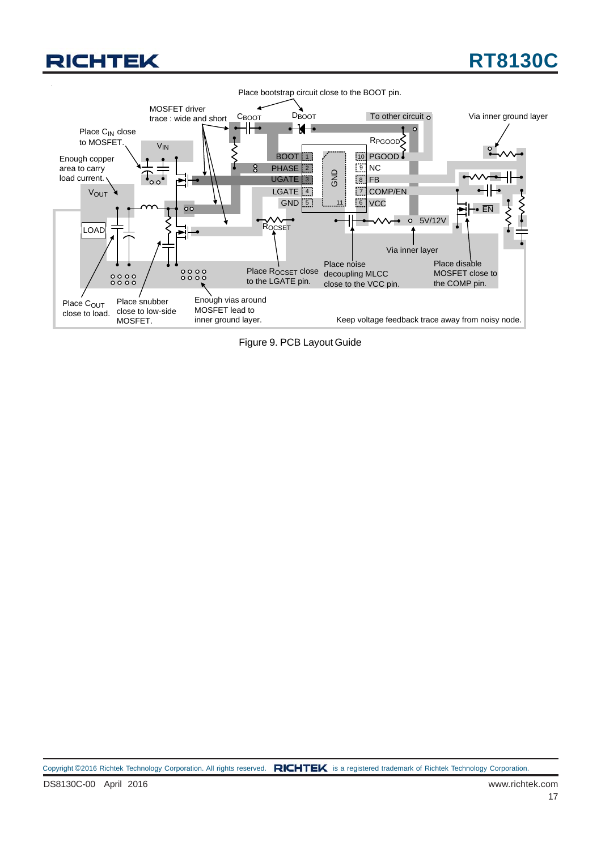## **RT8130C**



Figure 9. PCB Layout Guide